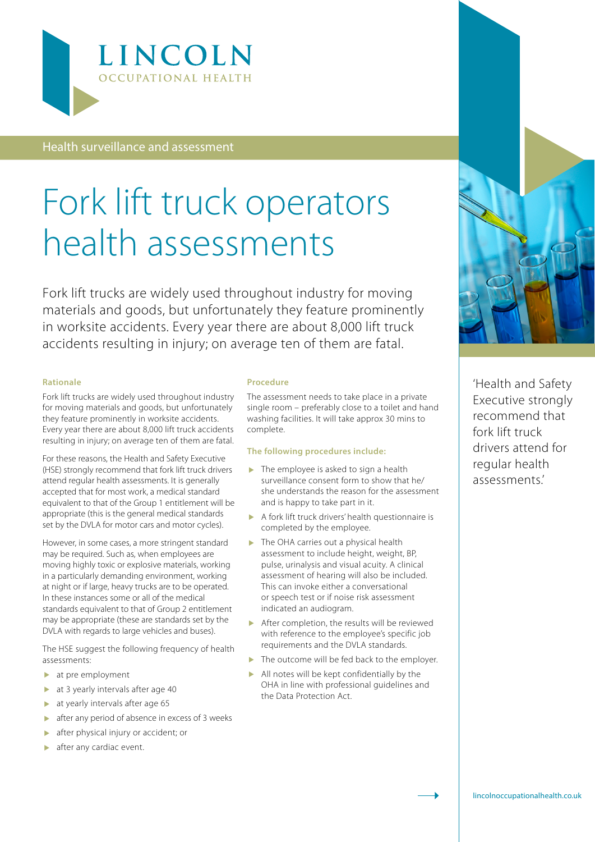

Health surveillance and assessment

# Fork lift truck operators health assessments

Fork lift trucks are widely used throughout industry for moving materials and goods, but unfortunately they feature prominently in worksite accidents. Every year there are about 8,000 lift truck accidents resulting in injury; on average ten of them are fatal.

#### **Rationale**

Fork lift trucks are widely used throughout industry for moving materials and goods, but unfortunately they feature prominently in worksite accidents. Every year there are about 8,000 lift truck accidents resulting in injury; on average ten of them are fatal.

For these reasons, the Health and Safety Executive (HSE) strongly recommend that fork lift truck drivers attend regular health assessments. It is generally accepted that for most work, a medical standard equivalent to that of the Group 1 entitlement will be appropriate (this is the general medical standards set by the DVLA for motor cars and motor cycles).

However, in some cases, a more stringent standard may be required. Such as, when employees are moving highly toxic or explosive materials, working in a particularly demanding environment, working at night or if large, heavy trucks are to be operated. In these instances some or all of the medical standards equivalent to that of Group 2 entitlement may be appropriate (these are standards set by the DVLA with regards to large vehicles and buses).

The HSE suggest the following frequency of health assessments:

- at pre employment
- at 3 yearly intervals after age 40
- at yearly intervals after age 65
- after any period of absence in excess of 3 weeks
- after physical injury or accident; or
- after any cardiac event.

#### **Procedure**

The assessment needs to take place in a private single room – preferably close to a toilet and hand washing facilities. It will take approx 30 mins to complete.

#### **The following procedures include:**

- $\blacktriangleright$  The employee is asked to sign a health surveillance consent form to show that he/ she understands the reason for the assessment and is happy to take part in it.
- A fork lift truck drivers' health questionnaire is completed by the employee.
- $\blacktriangleright$  The OHA carries out a physical health assessment to include height, weight, BP, pulse, urinalysis and visual acuity. A clinical assessment of hearing will also be included. This can invoke either a conversational or speech test or if noise risk assessment indicated an audiogram.
- After completion, the results will be reviewed with reference to the employee's specific job requirements and the DVLA standards.
- $\blacktriangleright$  The outcome will be fed back to the employer.
- All notes will be kept confidentially by the OHA in line with professional guidelines and the Data Protection Act.



'Health and Safety Executive strongly recommend that fork lift truck drivers attend for regular health assessments.'